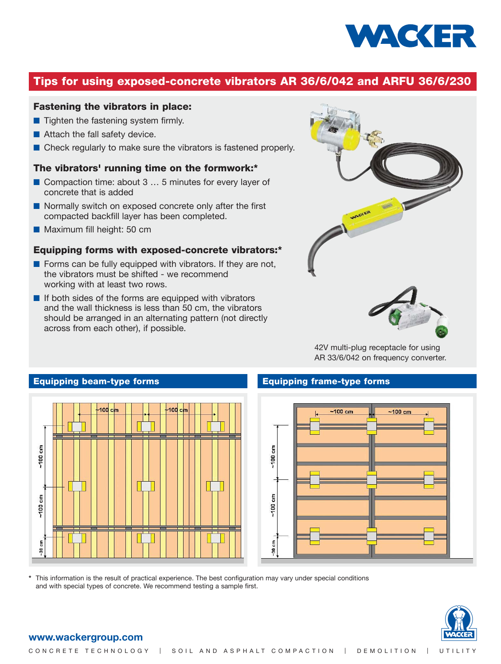

# **Tips for using exposed-concrete vibrators AR 36/6/042 and ARFU 36/6/230**

## **Fastening the vibrators in place:**

- Tighten the fastening system firmly.
- Attach the fall safety device.
- Check regularly to make sure the vibrators is fastened properly.

## **The vibrators' running time on the formwork:\***

- Compaction time: about 3 ... 5 minutes for every layer of concrete that is added
- Normally switch on exposed concrete only after the first compacted backfill layer has been completed.
- Maximum fill height: 50 cm

### **Equipping forms with exposed-concrete vibrators:\***

- Forms can be fully equipped with vibrators. If they are not, the vibrators must be shifted - we recommend working with at least two rows.
- If both sides of the forms are equipped with vibrators and the wall thickness is less than 50 cm, the vibrators should be arranged in an alternating pattern (not directly across from each other), if possible.



42V multi-plug receptacle for using AR 33/6/042 on frequency converter.





**\*** This information is the result of practical experience. The best configuration may vary under special conditions and with special types of concrete. We recommend testing a sample first.



### **www.wackergroup.com**